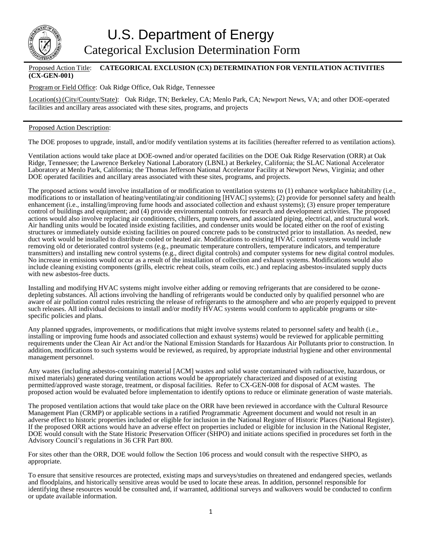

## Proposed Action Title: **CATEGORICAL EXCLUSION (CX) DETERMINATION FOR VENTILATION ACTIVITIES (CX-GEN-001)**

Program or Field Office: Oak Ridge Office, Oak Ridge, Tennessee

Location(s) (City/County/State): Oak Ridge, TN; Berkeley, CA; Menlo Park, CA; Newport News, VA; and other DOE-operated facilities and ancillary areas associated with these sites, programs, and projects

## Proposed Action Description:

The DOE proposes to upgrade, install, and/or modify ventilation systems at its facilities (hereafter referred to as ventilation actions).

Ventilation actions would take place at DOE-owned and/or operated facilities on the DOE Oak Ridge Reservation (ORR) at Oak Ridge, Tennessee; the Lawrence Berkeley National Laboratory (LBNL) at Berkeley, California; the SLAC National Accelerator Laboratory at Menlo Park, California; the Thomas Jefferson National Accelerator Facility at Newport News, Virginia; and other DOE operated facilities and ancillary areas associated with these sites, programs, and projects.

The proposed actions would involve installation of or modification to ventilation systems to (1) enhance workplace habitability (i.e., modifications to or installation of heating/ventilating/air conditioning [HVAC] systems); (2) provide for personnel safety and health enhancement (i.e., installing/improving fume hoods and associated collection and exhaust systems); (3) ensure proper temperature control of buildings and equipment; and (4) provide environmental controls for research and development activities. The proposed actions would also involve replacing air conditioners, chillers, pump towers, and associated piping, electrical, and structural work. Air handling units would be located inside existing facilities, and condenser units would be located either on the roof of existing structures or immediately outside existing facilities on poured concrete pads to be constructed prior to installation. As needed, new duct work would be installed to distribute cooled or heated air. Modifications to existing HVAC control systems would include removing old or deteriorated control systems (e.g., pneumatic temperature controllers, temperature indicators, and temperature transmitters) and installing new control systems (e.g., direct digital controls) and computer systems for new digital control modules. No increase in emissions would occur as a result of the installation of collection and exhaust systems. Modifications would also include cleaning existing components (grills, electric reheat coils, steam coils, etc.) and replacing asbestos-insulated supply ducts with new asbestos-free ducts.

Installing and modifying HVAC systems might involve either adding or removing refrigerants that are considered to be ozonedepleting substances. All actions involving the handling of refrigerants would be conducted only by qualified personnel who are aware of air pollution control rules restricting the release of refrigerants to the atmosphere and who are properly equipped to prevent such releases. All individual decisions to install and/or modify HVAC systems would conform to applicable programs or sitespecific policies and plans.

Any planned upgrades, improvements, or modifications that might involve systems related to personnel safety and health (i.e., installing or improving fume hoods and associated collection and exhaust systems) would be reviewed for applicable permitting requirements under the Clean Air Act and/or the National Emission Standards for Hazardous Air Pollutants prior to construction. In addition, modifications to such systems would be reviewed, as required, by appropriate industrial hygiene and other environmental management personnel.

Any wastes (including asbestos-containing material [ACM] wastes and solid waste contaminated with radioactive, hazardous, or mixed materials) generated during ventilation actions would be appropriately characterized and disposed of at existing permitted/approved waste storage, treatment, or disposal facilities. Refer to CX-GEN-008 for disposal of ACM wastes. The proposed action would be evaluated before implementation to identify options to reduce or eliminate generation of waste materials.

The proposed ventilation actions that would take place on the ORR have been reviewed in accordance with the Cultural Resource Management Plan (CRMP) or applicable sections in a ratified Programmatic Agreement document and would not result in an adverse effect to historic properties included or eligible for inclusion in the National Register of Historic Places (National Register). If the proposed ORR actions would have an adverse effect on properties included or eligible for inclusion in the National Register, DOE would consult with the State Historic Preservation Officer (SHPO) and initiate actions specified in procedures set forth in the Advisory Council's regulations in 36 CFR Part 800.

For sites other than the ORR, DOE would follow the Section 106 process and would consult with the respective SHPO, as appropriate.

To ensure that sensitive resources are protected, existing maps and surveys/studies on threatened and endangered species, wetlands and floodplains, and historically sensitive areas would be used to locate these areas. In addition, personnel responsible for identifying these resources would be consulted and, if warranted, additional surveys and walkovers would be conducted to confirm or update available information.